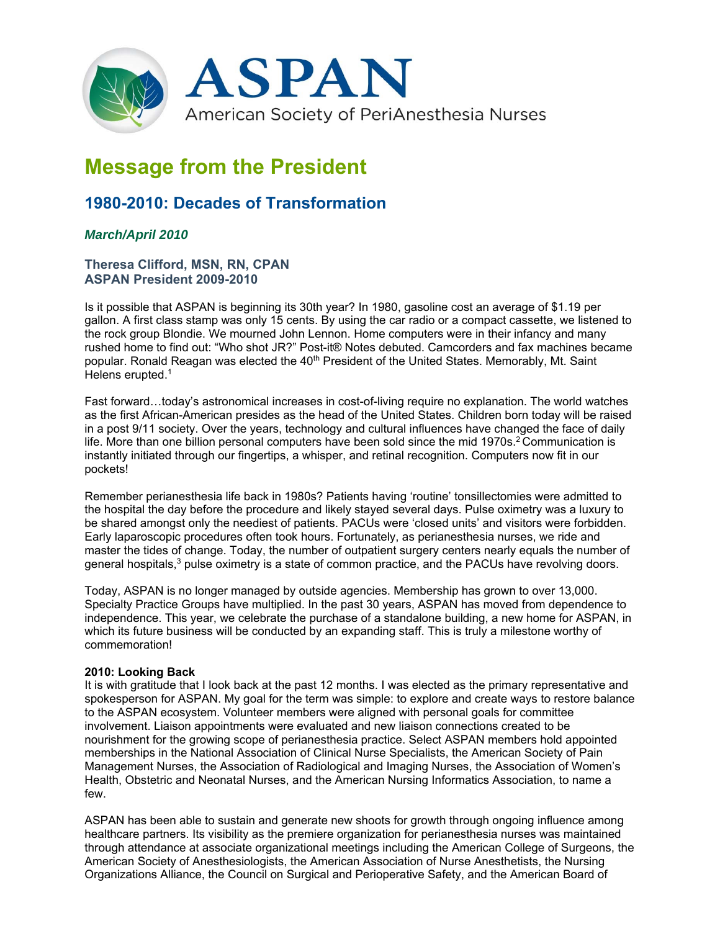

# **Message from the President**

## **1980-2010: Decades of Transformation**

### *March/April 2010*

#### **Theresa Clifford, MSN, RN, CPAN ASPAN President 2009-2010**

Is it possible that ASPAN is beginning its 30th year? In 1980, gasoline cost an average of \$1.19 per gallon. A first class stamp was only 15 cents. By using the car radio or a compact cassette, we listened to the rock group Blondie. We mourned John Lennon. Home computers were in their infancy and many rushed home to find out: "Who shot JR?" Post-it® Notes debuted. Camcorders and fax machines became popular. Ronald Reagan was elected the 40<sup>th</sup> President of the United States. Memorably, Mt. Saint Helens erupted.<sup>1</sup>

Fast forward…today's astronomical increases in cost-of-living require no explanation. The world watches as the first African-American presides as the head of the United States. Children born today will be raised in a post 9/11 society. Over the years, technology and cultural influences have changed the face of daily life. More than one billion personal computers have been sold since the mid 1970s.<sup>2</sup> Communication is instantly initiated through our fingertips, a whisper, and retinal recognition. Computers now fit in our pockets!

Remember perianesthesia life back in 1980s? Patients having 'routine' tonsillectomies were admitted to the hospital the day before the procedure and likely stayed several days. Pulse oximetry was a luxury to be shared amongst only the neediest of patients. PACUs were 'closed units' and visitors were forbidden. Early laparoscopic procedures often took hours. Fortunately, as perianesthesia nurses, we ride and master the tides of change. Today, the number of outpatient surgery centers nearly equals the number of general hospitals,<sup>3</sup> pulse oximetry is a state of common practice, and the PACUs have revolving doors.

Today, ASPAN is no longer managed by outside agencies. Membership has grown to over 13,000. Specialty Practice Groups have multiplied. In the past 30 years, ASPAN has moved from dependence to independence. This year, we celebrate the purchase of a standalone building, a new home for ASPAN, in which its future business will be conducted by an expanding staff. This is truly a milestone worthy of commemoration!

#### **2010: Looking Back**

It is with gratitude that I look back at the past 12 months. I was elected as the primary representative and spokesperson for ASPAN. My goal for the term was simple: to explore and create ways to restore balance to the ASPAN ecosystem. Volunteer members were aligned with personal goals for committee involvement. Liaison appointments were evaluated and new liaison connections created to be nourishment for the growing scope of perianesthesia practice. Select ASPAN members hold appointed memberships in the National Association of Clinical Nurse Specialists, the American Society of Pain Management Nurses, the Association of Radiological and Imaging Nurses, the Association of Women's Health, Obstetric and Neonatal Nurses, and the American Nursing Informatics Association, to name a few.

ASPAN has been able to sustain and generate new shoots for growth through ongoing influence among healthcare partners. Its visibility as the premiere organization for perianesthesia nurses was maintained through attendance at associate organizational meetings including the American College of Surgeons, the American Society of Anesthesiologists, the American Association of Nurse Anesthetists, the Nursing Organizations Alliance, the Council on Surgical and Perioperative Safety, and the American Board of